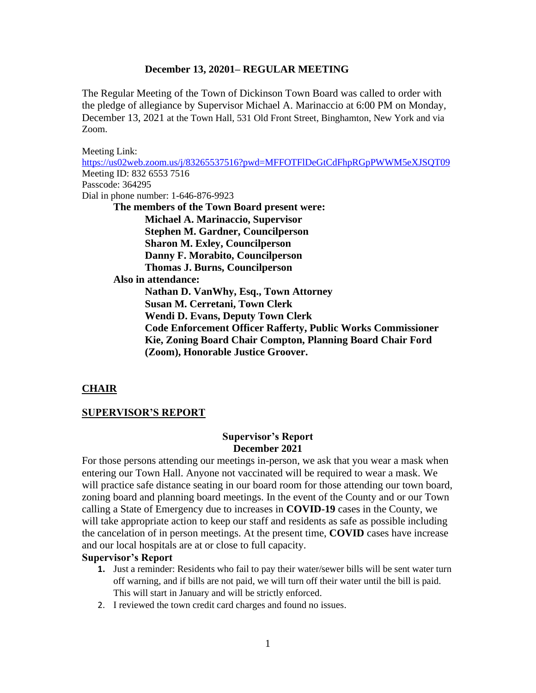The Regular Meeting of the Town of Dickinson Town Board was called to order with the pledge of allegiance by Supervisor Michael A. Marinaccio at 6:00 PM on Monday, December 13, 2021 at the Town Hall, 531 Old Front Street, Binghamton, New York and via Zoom.

Meeting Link: <https://us02web.zoom.us/j/83265537516?pwd=MFFOTFlDeGtCdFhpRGpPWWM5eXJSQT09> Meeting ID: 832 6553 7516 Passcode: 364295 Dial in phone number: 1-646-876-9923 **The members of the Town Board present were: Michael A. Marinaccio, Supervisor Stephen M. Gardner, Councilperson Sharon M. Exley, Councilperson Danny F. Morabito, Councilperson Thomas J. Burns, Councilperson Also in attendance: Nathan D. VanWhy, Esq., Town Attorney Susan M. Cerretani, Town Clerk Wendi D. Evans, Deputy Town Clerk Code Enforcement Officer Rafferty, Public Works Commissioner Kie, Zoning Board Chair Compton, Planning Board Chair Ford (Zoom), Honorable Justice Groover.**

#### **CHAIR**

#### **SUPERVISOR'S REPORT**

#### **Supervisor's Report December 2021**

For those persons attending our meetings in-person, we ask that you wear a mask when entering our Town Hall. Anyone not vaccinated will be required to wear a mask. We will practice safe distance seating in our board room for those attending our town board, zoning board and planning board meetings. In the event of the County and or our Town calling a State of Emergency due to increases in **COVID-19** cases in the County, we will take appropriate action to keep our staff and residents as safe as possible including the cancelation of in person meetings. At the present time, **COVID** cases have increase and our local hospitals are at or close to full capacity.

#### **Supervisor's Report**

- **1.** Just a reminder: Residents who fail to pay their water/sewer bills will be sent water turn off warning, and if bills are not paid, we will turn off their water until the bill is paid. This will start in January and will be strictly enforced.
- 2. I reviewed the town credit card charges and found no issues.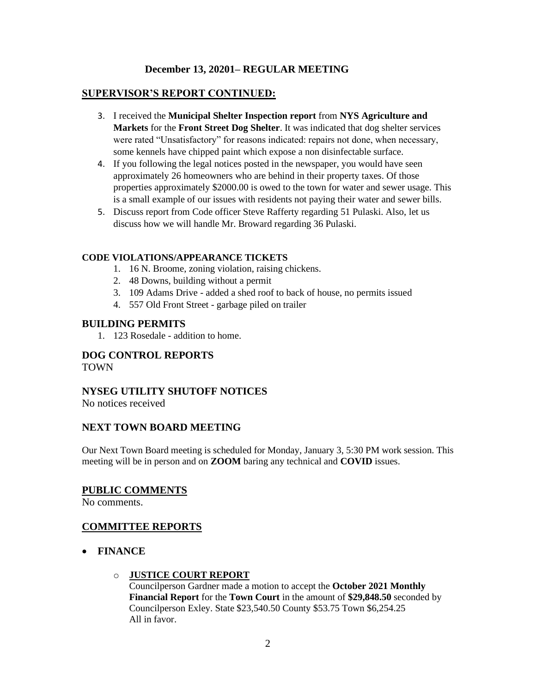## **SUPERVISOR'S REPORT CONTINUED:**

- 3. I received the **Municipal Shelter Inspection report** from **NYS Agriculture and Markets** for the **Front Street Dog Shelter**. It was indicated that dog shelter services were rated "Unsatisfactory" for reasons indicated: repairs not done, when necessary, some kennels have chipped paint which expose a non disinfectable surface.
- 4. If you following the legal notices posted in the newspaper, you would have seen approximately 26 homeowners who are behind in their property taxes. Of those properties approximately \$2000.00 is owed to the town for water and sewer usage. This is a small example of our issues with residents not paying their water and sewer bills.
- 5. Discuss report from Code officer Steve Rafferty regarding 51 Pulaski. Also, let us discuss how we will handle Mr. Broward regarding 36 Pulaski.

#### **CODE VIOLATIONS/APPEARANCE TICKETS**

- 1. 16 N. Broome, zoning violation, raising chickens.
- 2. 48 Downs, building without a permit
- 3. 109 Adams Drive added a shed roof to back of house, no permits issued
- 4. 557 Old Front Street garbage piled on trailer

## **BUILDING PERMITS**

1. 123 Rosedale - addition to home.

# **DOG CONTROL REPORTS**

TOWN

# **NYSEG UTILITY SHUTOFF NOTICES**

No notices received

## **NEXT TOWN BOARD MEETING**

Our Next Town Board meeting is scheduled for Monday, January 3, 5:30 PM work session. This meeting will be in person and on **ZOOM** baring any technical and **COVID** issues.

## **PUBLIC COMMENTS**

No comments.

# **COMMITTEE REPORTS**

- **FINANCE**
	- o **JUSTICE COURT REPORT**

Councilperson Gardner made a motion to accept the **October 2021 Monthly Financial Report** for the **Town Court** in the amount of **\$29,848.50** seconded by Councilperson Exley. State \$23,540.50 County \$53.75 Town \$6,254.25 All in favor.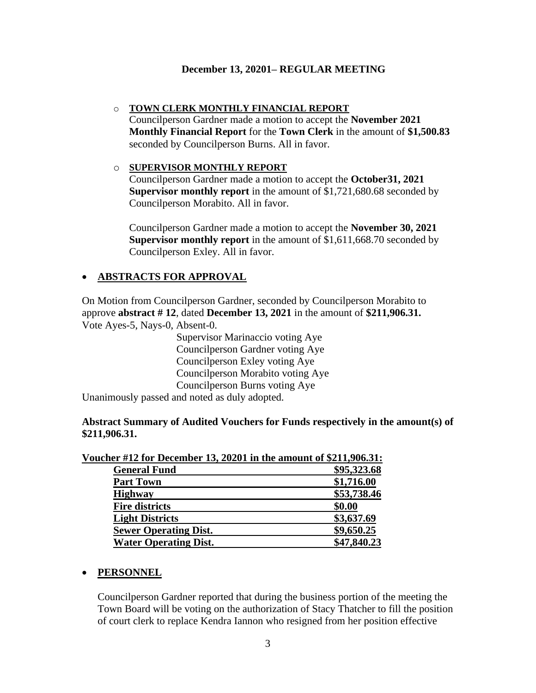o **TOWN CLERK MONTHLY FINANCIAL REPORT** Councilperson Gardner made a motion to accept the **November 2021 Monthly Financial Report** for the **Town Clerk** in the amount of **\$1,500.83**  seconded by Councilperson Burns. All in favor.

#### o **SUPERVISOR MONTHLY REPORT**

Councilperson Gardner made a motion to accept the **October31, 2021 Supervisor monthly report** in the amount of \$1,721,680.68 seconded by Councilperson Morabito. All in favor.

Councilperson Gardner made a motion to accept the **November 30, 2021 Supervisor monthly report** in the amount of \$1,611,668.70 seconded by Councilperson Exley. All in favor.

# • **ABSTRACTS FOR APPROVAL**

On Motion from Councilperson Gardner, seconded by Councilperson Morabito to approve **abstract # 12**, dated **December 13, 2021** in the amount of **\$211,906.31.** Vote Ayes-5, Nays-0, Absent-0.

> Supervisor Marinaccio voting Aye Councilperson Gardner voting Aye Councilperson Exley voting Aye Councilperson Morabito voting Aye Councilperson Burns voting Aye

Unanimously passed and noted as duly adopted.

**Abstract Summary of Audited Vouchers for Funds respectively in the amount(s) of \$211,906.31.**

| <b>General Fund</b>          | \$95,323.68 |
|------------------------------|-------------|
| <b>Part Town</b>             | \$1,716.00  |
| <b>Highway</b>               | \$53,738.46 |
| <b>Fire districts</b>        | \$0.00      |
| <b>Light Districts</b>       | \$3,637.69  |
| <b>Sewer Operating Dist.</b> | \$9,650.25  |
| <b>Water Operating Dist.</b> | \$47,840.23 |

## **Voucher #12 for December 13, 20201 in the amount of \$211,906.31:**

#### • **PERSONNEL**

Councilperson Gardner reported that during the business portion of the meeting the Town Board will be voting on the authorization of Stacy Thatcher to fill the position of court clerk to replace Kendra Iannon who resigned from her position effective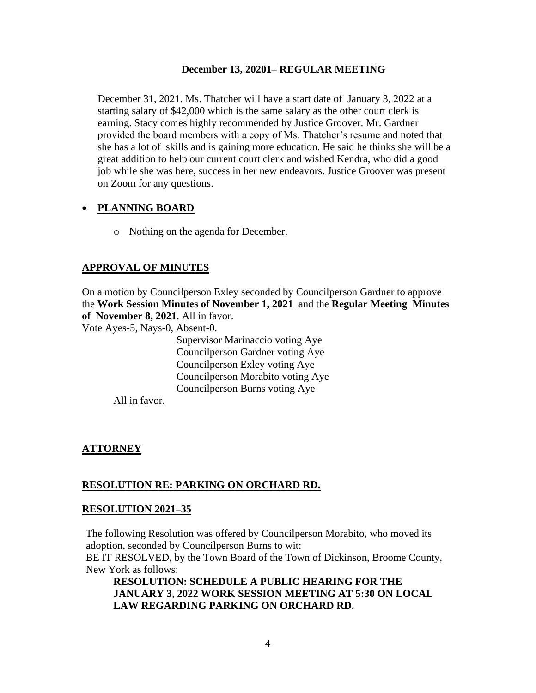December 31, 2021. Ms. Thatcher will have a start date of January 3, 2022 at a starting salary of \$42,000 which is the same salary as the other court clerk is earning. Stacy comes highly recommended by Justice Groover. Mr. Gardner provided the board members with a copy of Ms. Thatcher's resume and noted that she has a lot of skills and is gaining more education. He said he thinks she will be a great addition to help our current court clerk and wished Kendra, who did a good job while she was here, success in her new endeavors. Justice Groover was present on Zoom for any questions.

# • **PLANNING BOARD**

o Nothing on the agenda for December.

# **APPROVAL OF MINUTES**

On a motion by Councilperson Exley seconded by Councilperson Gardner to approve the **Work Session Minutes of November 1, 2021** and the **Regular Meeting Minutes of November 8, 2021**. All in favor.

Vote Ayes-5, Nays-0, Absent-0.

Supervisor Marinaccio voting Aye Councilperson Gardner voting Aye Councilperson Exley voting Aye Councilperson Morabito voting Aye Councilperson Burns voting Aye

All in favor.

## **ATTORNEY**

## **RESOLUTION RE: PARKING ON ORCHARD RD.**

## **RESOLUTION 2021–35**

The following Resolution was offered by Councilperson Morabito, who moved its adoption, seconded by Councilperson Burns to wit:

BE IT RESOLVED, by the Town Board of the Town of Dickinson, Broome County, New York as follows:

**RESOLUTION: SCHEDULE A PUBLIC HEARING FOR THE JANUARY 3, 2022 WORK SESSION MEETING AT 5:30 ON LOCAL LAW REGARDING PARKING ON ORCHARD RD.**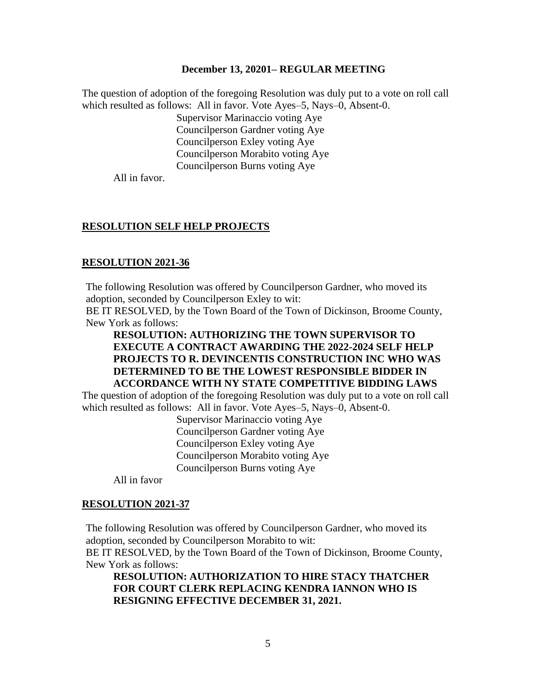The question of adoption of the foregoing Resolution was duly put to a vote on roll call which resulted as follows: All in favor. Vote Ayes–5, Nays–0, Absent-0.

> Supervisor Marinaccio voting Aye Councilperson Gardner voting Aye Councilperson Exley voting Aye Councilperson Morabito voting Aye Councilperson Burns voting Aye

All in favor.

#### **RESOLUTION SELF HELP PROJECTS**

#### **RESOLUTION 2021-36**

The following Resolution was offered by Councilperson Gardner, who moved its adoption, seconded by Councilperson Exley to wit:

BE IT RESOLVED, by the Town Board of the Town of Dickinson, Broome County, New York as follows:

## **RESOLUTION: AUTHORIZING THE TOWN SUPERVISOR TO EXECUTE A CONTRACT AWARDING THE 2022-2024 SELF HELP PROJECTS TO R. DEVINCENTIS CONSTRUCTION INC WHO WAS DETERMINED TO BE THE LOWEST RESPONSIBLE BIDDER IN ACCORDANCE WITH NY STATE COMPETITIVE BIDDING LAWS**

The question of adoption of the foregoing Resolution was duly put to a vote on roll call which resulted as follows: All in favor. Vote Ayes–5, Nays–0, Absent-0.

> Supervisor Marinaccio voting Aye Councilperson Gardner voting Aye Councilperson Exley voting Aye Councilperson Morabito voting Aye Councilperson Burns voting Aye

All in favor

#### **RESOLUTION 2021-37**

The following Resolution was offered by Councilperson Gardner, who moved its adoption, seconded by Councilperson Morabito to wit:

BE IT RESOLVED, by the Town Board of the Town of Dickinson, Broome County, New York as follows:

**RESOLUTION: AUTHORIZATION TO HIRE STACY THATCHER FOR COURT CLERK REPLACING KENDRA IANNON WHO IS RESIGNING EFFECTIVE DECEMBER 31, 2021.**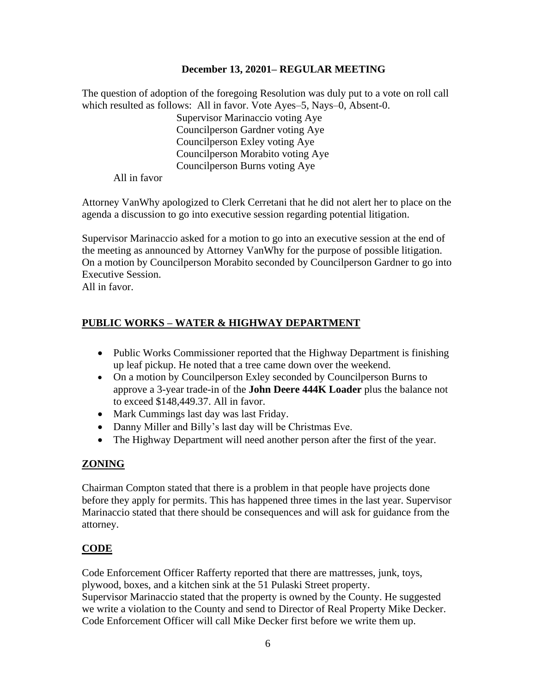The question of adoption of the foregoing Resolution was duly put to a vote on roll call which resulted as follows: All in favor. Vote Ayes–5, Nays–0, Absent-0.

Supervisor Marinaccio voting Aye Councilperson Gardner voting Aye Councilperson Exley voting Aye Councilperson Morabito voting Aye Councilperson Burns voting Aye

All in favor

Attorney VanWhy apologized to Clerk Cerretani that he did not alert her to place on the agenda a discussion to go into executive session regarding potential litigation.

Supervisor Marinaccio asked for a motion to go into an executive session at the end of the meeting as announced by Attorney VanWhy for the purpose of possible litigation. On a motion by Councilperson Morabito seconded by Councilperson Gardner to go into Executive Session.

All in favor.

# **PUBLIC WORKS – WATER & HIGHWAY DEPARTMENT**

- Public Works Commissioner reported that the Highway Department is finishing up leaf pickup. He noted that a tree came down over the weekend.
- On a motion by Councilperson Exley seconded by Councilperson Burns to approve a 3-year trade-in of the **John Deere 444K Loader** plus the balance not to exceed \$148,449.37. All in favor.
- Mark Cummings last day was last Friday.
- Danny Miller and Billy's last day will be Christmas Eve.
- The Highway Department will need another person after the first of the year.

# **ZONING**

Chairman Compton stated that there is a problem in that people have projects done before they apply for permits. This has happened three times in the last year. Supervisor Marinaccio stated that there should be consequences and will ask for guidance from the attorney.

# **CODE**

Code Enforcement Officer Rafferty reported that there are mattresses, junk, toys, plywood, boxes, and a kitchen sink at the 51 Pulaski Street property.

Supervisor Marinaccio stated that the property is owned by the County. He suggested we write a violation to the County and send to Director of Real Property Mike Decker. Code Enforcement Officer will call Mike Decker first before we write them up.